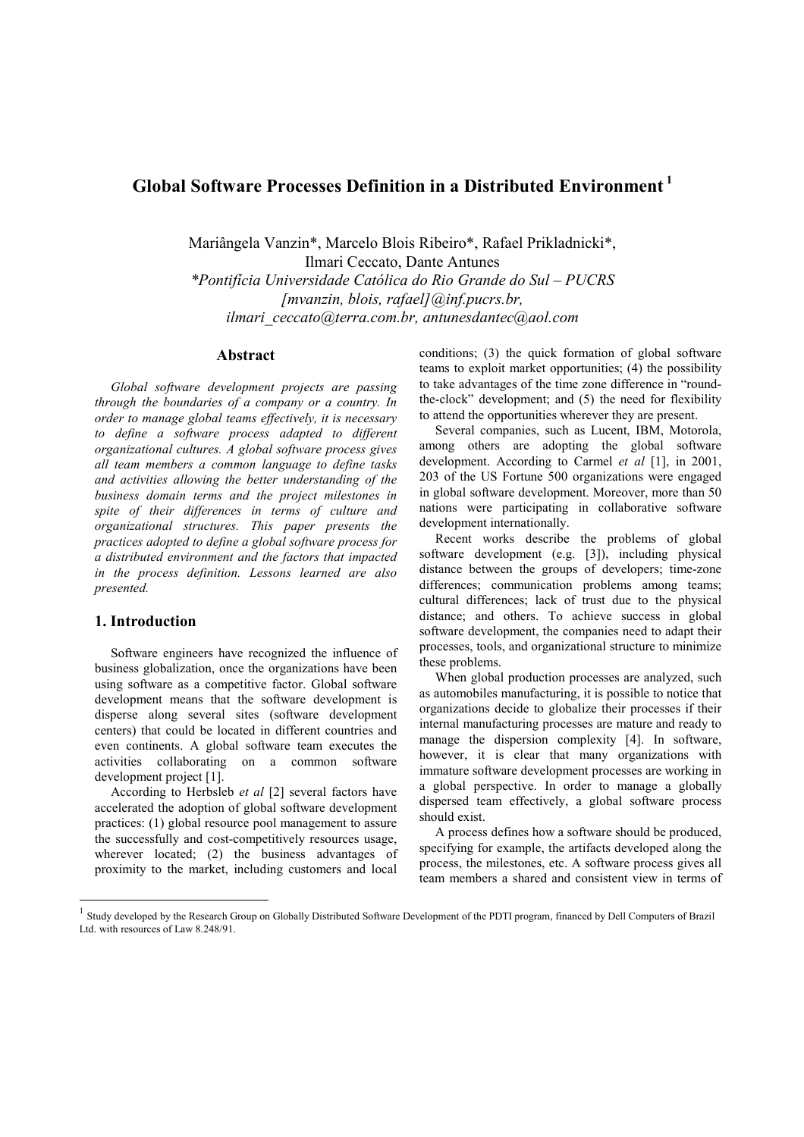# Global Software Processes Definition in a Distributed Environment<sup>1</sup>

Mariângela Vanzin\*, Marcelo Blois Ribeiro\*, Rafael Prikladnicki\*, Ilmari Ceccato, Dante Antunes \*Pontifícia Universidade Católica do Rio Grande do Sul – PUCRS  $[mvanzin, blois, rafael](Q)$ inf.pucrs.br, ilmari\_ceccato@terra.com.br, antunesdantec@aol.com

#### Abstract

Global software development projects are passing through the boundaries of a company or a country. In order to manage global teams effectively, it is necessary to define a software process adapted to different organizational cultures. A global software process gives all team members a common language to define tasks and activities allowing the better understanding of the business domain terms and the project milestones in spite of their differences in terms of culture and organizational structures. This paper presents the practices adopted to define a global software process for a distributed environment and the factors that impacted in the process definition. Lessons learned are also presented.

## 1. Introduction

-

Software engineers have recognized the influence of business globalization, once the organizations have been using software as a competitive factor. Global software development means that the software development is disperse along several sites (software development centers) that could be located in different countries and even continents. A global software team executes the activities collaborating on a common software development project [1].

According to Herbsleb et al [2] several factors have accelerated the adoption of global software development practices: (1) global resource pool management to assure the successfully and cost-competitively resources usage, wherever located; (2) the business advantages of proximity to the market, including customers and local

conditions; (3) the quick formation of global software teams to exploit market opportunities; (4) the possibility to take advantages of the time zone difference in "roundthe-clock" development; and (5) the need for flexibility to attend the opportunities wherever they are present.

Several companies, such as Lucent, IBM, Motorola, among others are adopting the global software development. According to Carmel et al [1], in 2001, 203 of the US Fortune 500 organizations were engaged in global software development. Moreover, more than 50 nations were participating in collaborative software development internationally.

Recent works describe the problems of global software development (e.g. [3]), including physical distance between the groups of developers; time-zone differences; communication problems among teams; cultural differences; lack of trust due to the physical distance; and others. To achieve success in global software development, the companies need to adapt their processes, tools, and organizational structure to minimize these problems.

When global production processes are analyzed, such as automobiles manufacturing, it is possible to notice that organizations decide to globalize their processes if their internal manufacturing processes are mature and ready to manage the dispersion complexity [4]. In software, however, it is clear that many organizations with immature software development processes are working in a global perspective. In order to manage a globally dispersed team effectively, a global software process should exist.

A process defines how a software should be produced, specifying for example, the artifacts developed along the process, the milestones, etc. A software process gives all team members a shared and consistent view in terms of

<sup>1</sup> Study developed by the Research Group on Globally Distributed Software Development of the PDTI program, financed by Dell Computers of Brazil Ltd. with resources of Law 8.248/91.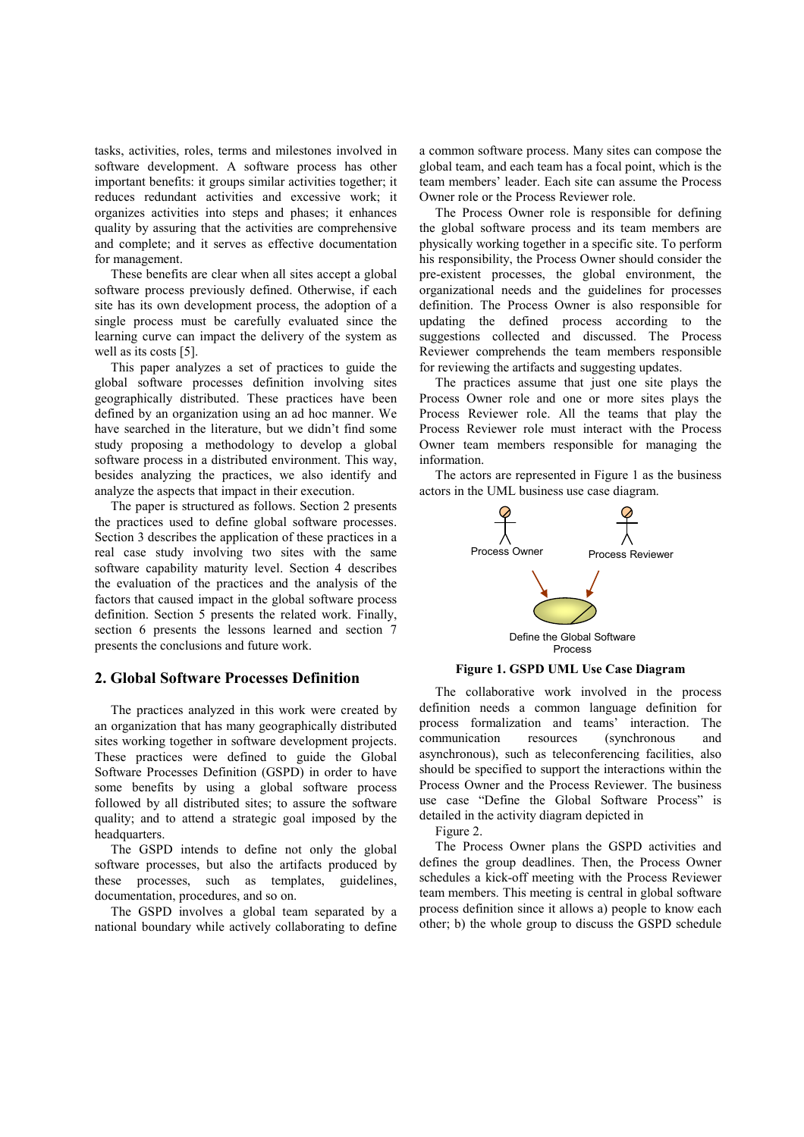tasks, activities, roles, terms and milestones involved in software development. A software process has other important benefits: it groups similar activities together; it reduces redundant activities and excessive work; it organizes activities into steps and phases; it enhances quality by assuring that the activities are comprehensive and complete; and it serves as effective documentation for management.

These benefits are clear when all sites accept a global software process previously defined. Otherwise, if each site has its own development process, the adoption of a single process must be carefully evaluated since the learning curve can impact the delivery of the system as well as its costs [5].

This paper analyzes a set of practices to guide the global software processes definition involving sites geographically distributed. These practices have been defined by an organization using an ad hoc manner. We have searched in the literature, but we didn't find some study proposing a methodology to develop a global software process in a distributed environment. This way, besides analyzing the practices, we also identify and analyze the aspects that impact in their execution.

The paper is structured as follows. Section 2 presents the practices used to define global software processes. Section 3 describes the application of these practices in a real case study involving two sites with the same software capability maturity level. Section 4 describes the evaluation of the practices and the analysis of the factors that caused impact in the global software process definition. Section 5 presents the related work. Finally, section 6 presents the lessons learned and section 7 presents the conclusions and future work.

#### 2. Global Software Processes Definition

The practices analyzed in this work were created by an organization that has many geographically distributed sites working together in software development projects. These practices were defined to guide the Global Software Processes Definition (GSPD) in order to have some benefits by using a global software process followed by all distributed sites; to assure the software quality; and to attend a strategic goal imposed by the headquarters.

The GSPD intends to define not only the global software processes, but also the artifacts produced by these processes, such as templates, guidelines, documentation, procedures, and so on.

The GSPD involves a global team separated by a national boundary while actively collaborating to define a common software process. Many sites can compose the global team, and each team has a focal point, which is the team members' leader. Each site can assume the Process Owner role or the Process Reviewer role.

The Process Owner role is responsible for defining the global software process and its team members are physically working together in a specific site. To perform his responsibility, the Process Owner should consider the pre-existent processes, the global environment, the organizational needs and the guidelines for processes definition. The Process Owner is also responsible for updating the defined process according to the suggestions collected and discussed. The Process Reviewer comprehends the team members responsible for reviewing the artifacts and suggesting updates.

The practices assume that just one site plays the Process Owner role and one or more sites plays the Process Reviewer role. All the teams that play the Process Reviewer role must interact with the Process Owner team members responsible for managing the information.

The actors are represented in Figure 1 as the business actors in the UML business use case diagram.



#### Figure 1. GSPD UML Use Case Diagram

The collaborative work involved in the process definition needs a common language definition for process formalization and teams' interaction. The communication resources (synchronous and asynchronous), such as teleconferencing facilities, also should be specified to support the interactions within the Process Owner and the Process Reviewer. The business use case "Define the Global Software Process" is detailed in the activity diagram depicted in

Figure 2.

The Process Owner plans the GSPD activities and defines the group deadlines. Then, the Process Owner schedules a kick-off meeting with the Process Reviewer team members. This meeting is central in global software process definition since it allows a) people to know each other; b) the whole group to discuss the GSPD schedule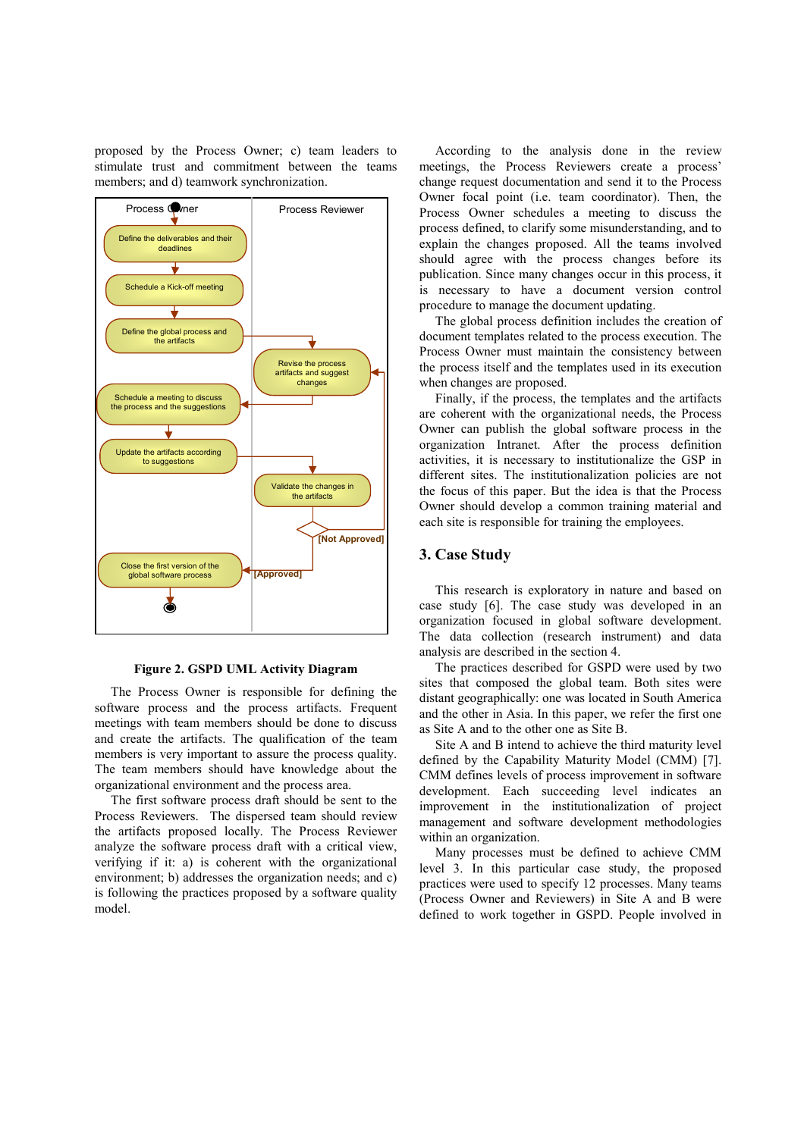proposed by the Process Owner; c) team leaders to stimulate trust and commitment between the teams members; and d) teamwork synchronization.



#### Figure 2. GSPD UML Activity Diagram

The Process Owner is responsible for defining the software process and the process artifacts. Frequent meetings with team members should be done to discuss and create the artifacts. The qualification of the team members is very important to assure the process quality. The team members should have knowledge about the organizational environment and the process area.

The first software process draft should be sent to the Process Reviewers. The dispersed team should review the artifacts proposed locally. The Process Reviewer analyze the software process draft with a critical view, verifying if it: a) is coherent with the organizational environment; b) addresses the organization needs; and c) is following the practices proposed by a software quality model.

According to the analysis done in the review meetings, the Process Reviewers create a process' change request documentation and send it to the Process Owner focal point (i.e. team coordinator). Then, the Process Owner schedules a meeting to discuss the process defined, to clarify some misunderstanding, and to explain the changes proposed. All the teams involved should agree with the process changes before its publication. Since many changes occur in this process, it is necessary to have a document version control procedure to manage the document updating.

The global process definition includes the creation of document templates related to the process execution. The Process Owner must maintain the consistency between the process itself and the templates used in its execution when changes are proposed.

Finally, if the process, the templates and the artifacts are coherent with the organizational needs, the Process Owner can publish the global software process in the organization Intranet. After the process definition activities, it is necessary to institutionalize the GSP in different sites. The institutionalization policies are not the focus of this paper. But the idea is that the Process Owner should develop a common training material and each site is responsible for training the employees.

### 3. Case Study

This research is exploratory in nature and based on case study [6]. The case study was developed in an organization focused in global software development. The data collection (research instrument) and data analysis are described in the section 4.

The practices described for GSPD were used by two sites that composed the global team. Both sites were distant geographically: one was located in South America and the other in Asia. In this paper, we refer the first one as Site A and to the other one as Site B.

Site A and B intend to achieve the third maturity level defined by the Capability Maturity Model (CMM) [7]. CMM defines levels of process improvement in software development. Each succeeding level indicates an improvement in the institutionalization of project management and software development methodologies within an organization.

Many processes must be defined to achieve CMM level 3. In this particular case study, the proposed practices were used to specify 12 processes. Many teams (Process Owner and Reviewers) in Site A and B were defined to work together in GSPD. People involved in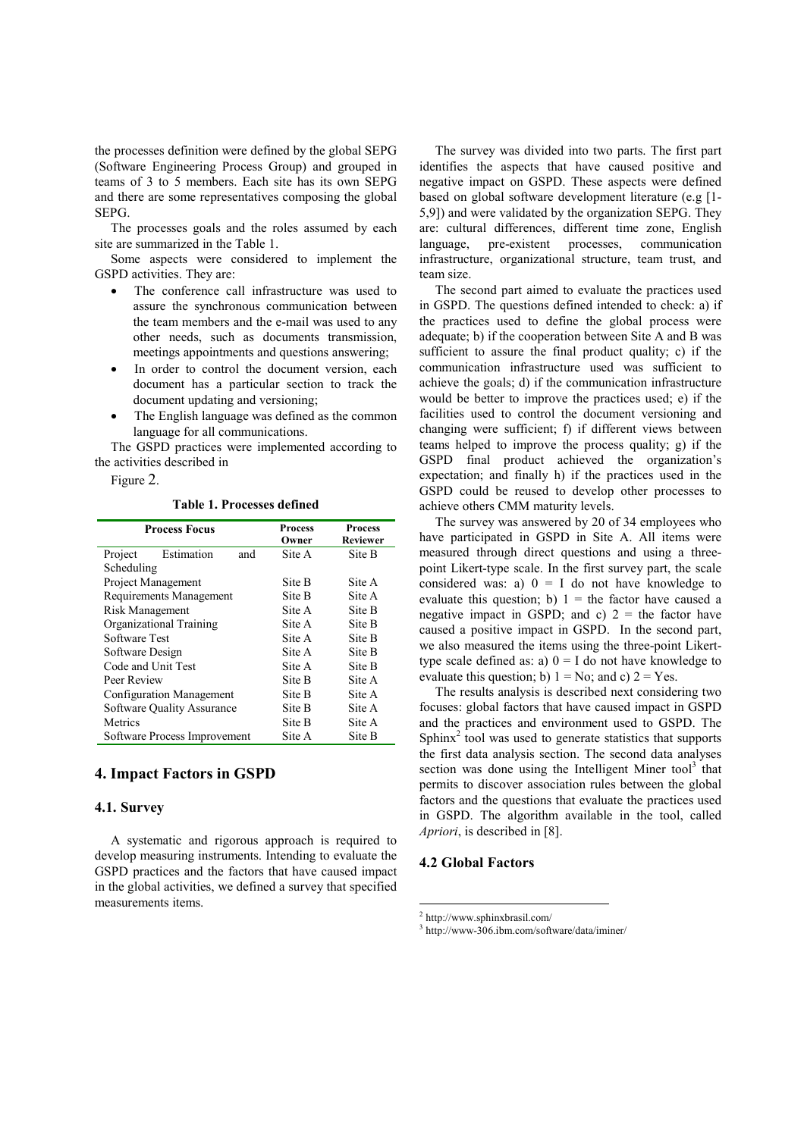the processes definition were defined by the global SEPG (Software Engineering Process Group) and grouped in teams of 3 to 5 members. Each site has its own SEPG and there are some representatives composing the global SEPG.

The processes goals and the roles assumed by each site are summarized in the Table 1.

Some aspects were considered to implement the GSPD activities. They are:

- The conference call infrastructure was used to assure the synchronous communication between the team members and the e-mail was used to any other needs, such as documents transmission, meetings appointments and questions answering;
- In order to control the document version, each document has a particular section to track the document updating and versioning;
- The English language was defined as the common language for all communications.

The GSPD practices were implemented according to the activities described in

Figure 2.

Table 1. Processes defined

|                 | <b>Process Focus</b>         | <b>Process</b> | <b>Process</b> |  |  |  |
|-----------------|------------------------------|----------------|----------------|--|--|--|
|                 |                              | Owner          | Reviewer       |  |  |  |
| Project         | Estimation<br>and            | Site A         | Site B         |  |  |  |
| Scheduling      |                              |                |                |  |  |  |
|                 | Project Management           | Site B         | Site A         |  |  |  |
|                 | Requirements Management      | Site B         | Site A         |  |  |  |
| Risk Management |                              | Site A         | Site B         |  |  |  |
|                 | Organizational Training      | Site A         | Site B         |  |  |  |
| Software Test   |                              | Site A         | Site B         |  |  |  |
| Software Design |                              | Site A         | Site B         |  |  |  |
|                 | Code and Unit Test           | Site A         | Site B         |  |  |  |
| Peer Review     |                              | Site B         | Site A         |  |  |  |
|                 | Configuration Management     | Site B         | Site A         |  |  |  |
|                 | Software Quality Assurance   | Site B         | Site A         |  |  |  |
| Metrics         |                              | Site B         | Site A         |  |  |  |
|                 | Software Process Improvement | Site A         | Site B         |  |  |  |

## 4. Impact Factors in GSPD

## 4.1. Survey

A systematic and rigorous approach is required to develop measuring instruments. Intending to evaluate the GSPD practices and the factors that have caused impact in the global activities, we defined a survey that specified measurements items.

The survey was divided into two parts. The first part identifies the aspects that have caused positive and negative impact on GSPD. These aspects were defined based on global software development literature (e.g [1- 5,9]) and were validated by the organization SEPG. They are: cultural differences, different time zone, English language, pre-existent processes, communication infrastructure, organizational structure, team trust, and team size.

The second part aimed to evaluate the practices used in GSPD. The questions defined intended to check: a) if the practices used to define the global process were adequate; b) if the cooperation between Site A and B was sufficient to assure the final product quality; c) if the communication infrastructure used was sufficient to achieve the goals; d) if the communication infrastructure would be better to improve the practices used; e) if the facilities used to control the document versioning and changing were sufficient; f) if different views between teams helped to improve the process quality; g) if the GSPD final product achieved the organization's expectation; and finally h) if the practices used in the GSPD could be reused to develop other processes to achieve others CMM maturity levels.

The survey was answered by 20 of 34 employees who have participated in GSPD in Site A. All items were measured through direct questions and using a threepoint Likert-type scale. In the first survey part, the scale considered was: a)  $0 = I$  do not have knowledge to evaluate this question; b)  $1 =$  the factor have caused a negative impact in GSPD; and c)  $2 =$  the factor have caused a positive impact in GSPD. In the second part, we also measured the items using the three-point Likerttype scale defined as: a)  $0 = I$  do not have knowledge to evaluate this question; b)  $1 = No$ ; and c)  $2 = Yes$ .

The results analysis is described next considering two focuses: global factors that have caused impact in GSPD and the practices and environment used to GSPD. The Sphinx<sup>2</sup> tool was used to generate statistics that supports the first data analysis section. The second data analyses section was done using the Intelligent Miner tool<sup>3</sup> that permits to discover association rules between the global factors and the questions that evaluate the practices used in GSPD. The algorithm available in the tool, called Apriori, is described in [8].

## 4.2 Global Factors

-

<sup>2</sup> http://www.sphinxbrasil.com/

<sup>3</sup> http://www-306.ibm.com/software/data/iminer/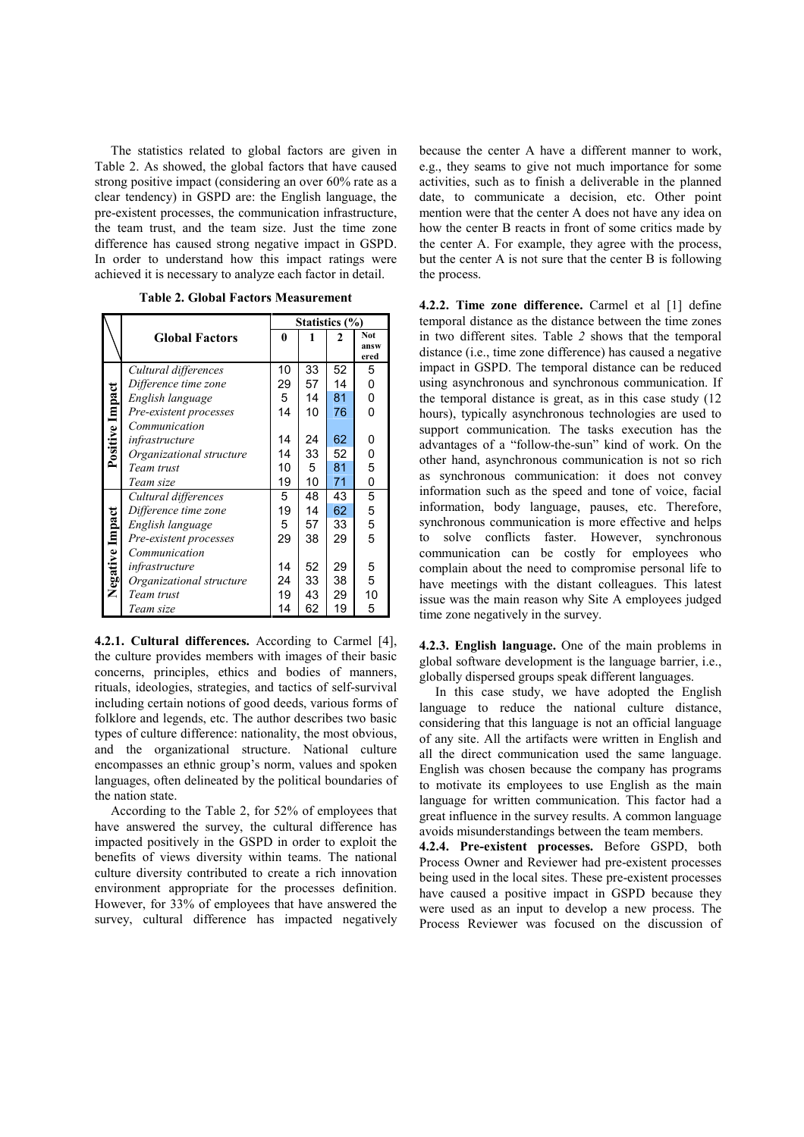The statistics related to global factors are given in Table 2. As showed, the global factors that have caused strong positive impact (considering an over 60% rate as a clear tendency) in GSPD are: the English language, the pre-existent processes, the communication infrastructure, the team trust, and the team size. Just the time zone difference has caused strong negative impact in GSPD. In order to understand how this impact ratings were achieved it is necessary to analyze each factor in detail.

|                 |                          | Statistics (%) |    |    |                     |
|-----------------|--------------------------|----------------|----|----|---------------------|
|                 | <b>Global Factors</b>    | 0              | 1  | 2  | Not<br>answ<br>ered |
|                 | Cultural differences     | 10             | 33 | 52 | 5                   |
| Positive Impact | Difference time zone     | 29             | 57 | 14 | 0                   |
|                 | English language         | 5              | 14 | 81 | 0                   |
|                 | Pre-existent processes   | 14             | 10 | 76 | 0                   |
|                 | Communication            |                |    |    |                     |
|                 | infrastructure           | 14             | 24 | 62 | 0                   |
|                 | Organizational structure | 14             | 33 | 52 | 0                   |
|                 | Team trust               | 10             | 5  | 81 | 5                   |
|                 | Team size                | 19             | 10 | 71 | 0                   |
|                 | Cultural differences     | 5              | 48 | 43 | $\overline{5}$      |
|                 | Difference time zone     | 19             | 14 | 62 | 5                   |
|                 | English language         | 5              | 57 | 33 | 5                   |
|                 | Pre-existent processes   | 29             | 38 | 29 | 5                   |
|                 | Communication            |                |    |    |                     |
| Negative Impact | infrastructure           | 14             | 52 | 29 | 5                   |
|                 | Organizational structure | 24             | 33 | 38 | 5                   |
|                 | Team trust               | 19             | 43 | 29 | 10                  |
|                 | Team size                | 14             | 62 | 19 | 5                   |

Table 2. Global Factors Measurement

4.2.1. Cultural differences. According to Carmel [4], the culture provides members with images of their basic concerns, principles, ethics and bodies of manners, rituals, ideologies, strategies, and tactics of self-survival including certain notions of good deeds, various forms of folklore and legends, etc. The author describes two basic types of culture difference: nationality, the most obvious, and the organizational structure. National culture encompasses an ethnic group's norm, values and spoken languages, often delineated by the political boundaries of the nation state.

According to the Table 2, for 52% of employees that have answered the survey, the cultural difference has impacted positively in the GSPD in order to exploit the benefits of views diversity within teams. The national culture diversity contributed to create a rich innovation environment appropriate for the processes definition. However, for 33% of employees that have answered the survey, cultural difference has impacted negatively because the center A have a different manner to work, e.g., they seams to give not much importance for some activities, such as to finish a deliverable in the planned date, to communicate a decision, etc. Other point mention were that the center A does not have any idea on how the center B reacts in front of some critics made by the center A. For example, they agree with the process, but the center A is not sure that the center B is following the process.

4.2.2. Time zone difference. Carmel et al [1] define temporal distance as the distance between the time zones in two different sites. Table 2 shows that the temporal distance (i.e., time zone difference) has caused a negative impact in GSPD. The temporal distance can be reduced using asynchronous and synchronous communication. If the temporal distance is great, as in this case study (12 hours), typically asynchronous technologies are used to support communication. The tasks execution has the advantages of a "follow-the-sun" kind of work. On the other hand, asynchronous communication is not so rich as synchronous communication: it does not convey information such as the speed and tone of voice, facial information, body language, pauses, etc. Therefore, synchronous communication is more effective and helps to solve conflicts faster. However, synchronous communication can be costly for employees who complain about the need to compromise personal life to have meetings with the distant colleagues. This latest issue was the main reason why Site A employees judged time zone negatively in the survey.

4.2.3. English language. One of the main problems in global software development is the language barrier, i.e., globally dispersed groups speak different languages.

In this case study, we have adopted the English language to reduce the national culture distance, considering that this language is not an official language of any site. All the artifacts were written in English and all the direct communication used the same language. English was chosen because the company has programs to motivate its employees to use English as the main language for written communication. This factor had a great influence in the survey results. A common language avoids misunderstandings between the team members.

4.2.4. Pre-existent processes. Before GSPD, both Process Owner and Reviewer had pre-existent processes being used in the local sites. These pre-existent processes have caused a positive impact in GSPD because they were used as an input to develop a new process. The Process Reviewer was focused on the discussion of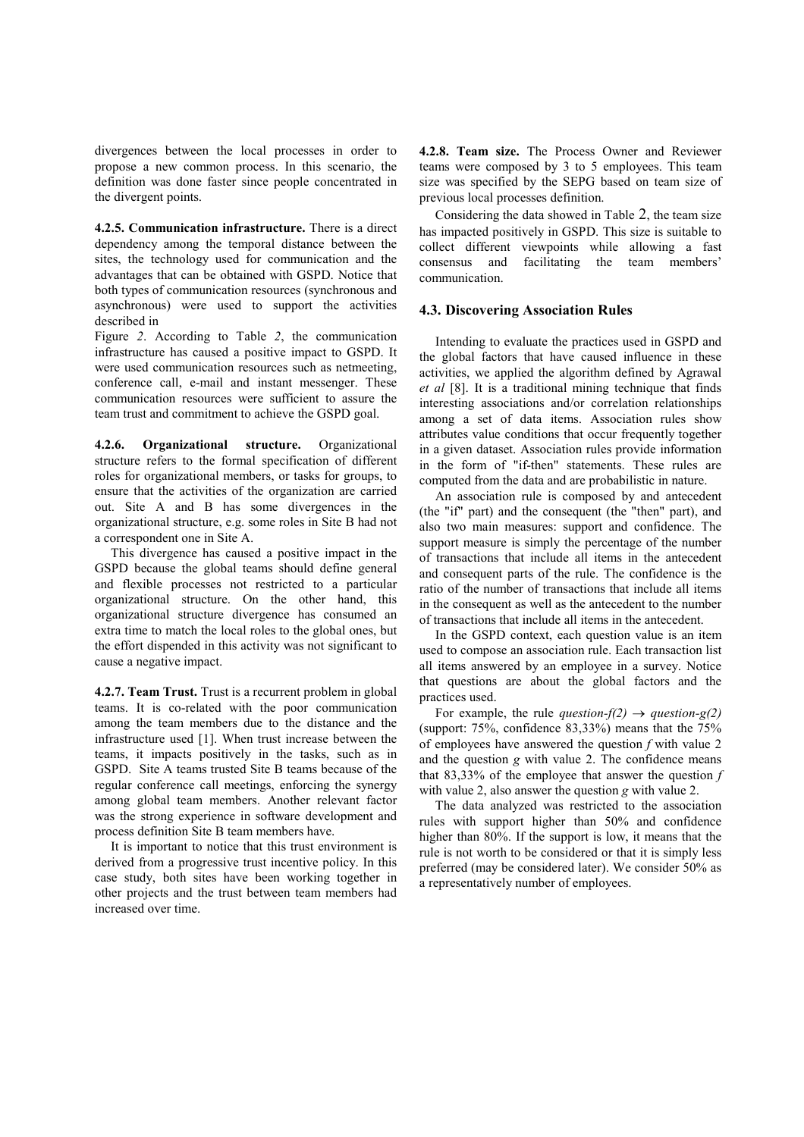divergences between the local processes in order to propose a new common process. In this scenario, the definition was done faster since people concentrated in the divergent points.

4.2.5. Communication infrastructure. There is a direct dependency among the temporal distance between the sites, the technology used for communication and the advantages that can be obtained with GSPD. Notice that both types of communication resources (synchronous and asynchronous) were used to support the activities described in

Figure 2. According to Table 2, the communication infrastructure has caused a positive impact to GSPD. It were used communication resources such as netmeeting, conference call, e-mail and instant messenger. These communication resources were sufficient to assure the team trust and commitment to achieve the GSPD goal.

4.2.6. Organizational structure. Organizational structure refers to the formal specification of different roles for organizational members, or tasks for groups, to ensure that the activities of the organization are carried out. Site A and B has some divergences in the organizational structure, e.g. some roles in Site B had not a correspondent one in Site A.

This divergence has caused a positive impact in the GSPD because the global teams should define general and flexible processes not restricted to a particular organizational structure. On the other hand, this organizational structure divergence has consumed an extra time to match the local roles to the global ones, but the effort dispended in this activity was not significant to cause a negative impact.

4.2.7. Team Trust. Trust is a recurrent problem in global teams. It is co-related with the poor communication among the team members due to the distance and the infrastructure used [1]. When trust increase between the teams, it impacts positively in the tasks, such as in GSPD. Site A teams trusted Site B teams because of the regular conference call meetings, enforcing the synergy among global team members. Another relevant factor was the strong experience in software development and process definition Site B team members have.

It is important to notice that this trust environment is derived from a progressive trust incentive policy. In this case study, both sites have been working together in other projects and the trust between team members had increased over time.

4.2.8. Team size. The Process Owner and Reviewer teams were composed by 3 to 5 employees. This team size was specified by the SEPG based on team size of previous local processes definition.

Considering the data showed in Table 2, the team size has impacted positively in GSPD. This size is suitable to collect different viewpoints while allowing a fast consensus and facilitating the team members' communication.

#### 4.3. Discovering Association Rules

Intending to evaluate the practices used in GSPD and the global factors that have caused influence in these activities, we applied the algorithm defined by Agrawal et al [8]. It is a traditional mining technique that finds interesting associations and/or correlation relationships among a set of data items. Association rules show attributes value conditions that occur frequently together in a given dataset. Association rules provide information in the form of "if-then" statements. These rules are computed from the data and are probabilistic in nature.

An association rule is composed by and antecedent (the "if" part) and the consequent (the "then" part), and also two main measures: support and confidence. The support measure is simply the percentage of the number of transactions that include all items in the antecedent and consequent parts of the rule. The confidence is the ratio of the number of transactions that include all items in the consequent as well as the antecedent to the number of transactions that include all items in the antecedent.

In the GSPD context, each question value is an item used to compose an association rule. Each transaction list all items answered by an employee in a survey. Notice that questions are about the global factors and the practices used.

For example, the rule *question-f(2)*  $\rightarrow$  *question-g(2)* (support: 75%, confidence 83,33%) means that the 75% of employees have answered the question  $f$  with value  $2$ and the question g with value 2. The confidence means that 83,33% of the employee that answer the question  $f$ with value 2, also answer the question g with value 2.

The data analyzed was restricted to the association rules with support higher than 50% and confidence higher than 80%. If the support is low, it means that the rule is not worth to be considered or that it is simply less preferred (may be considered later). We consider 50% as a representatively number of employees.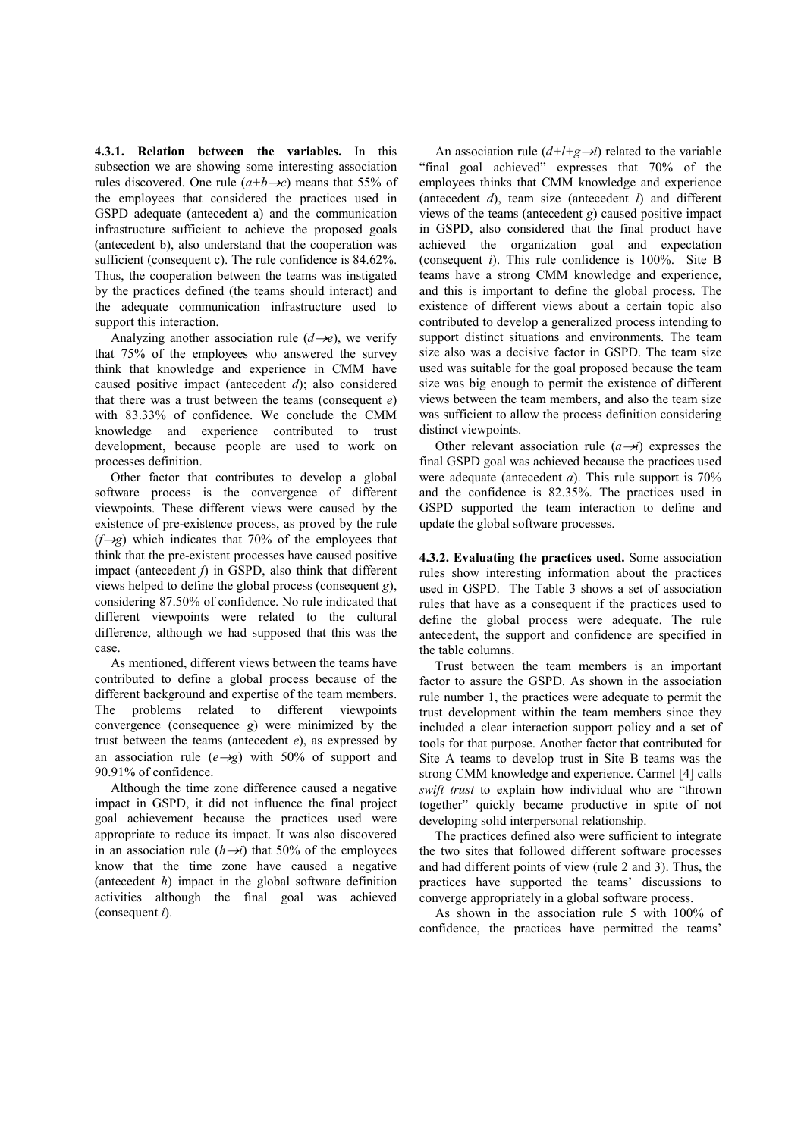4.3.1. Relation between the variables. In this subsection we are showing some interesting association rules discovered. One rule  $(a+b\rightarrow c)$  means that 55% of the employees that considered the practices used in GSPD adequate (antecedent a) and the communication infrastructure sufficient to achieve the proposed goals (antecedent b), also understand that the cooperation was sufficient (consequent c). The rule confidence is  $84.62\%$ . Thus, the cooperation between the teams was instigated by the practices defined (the teams should interact) and the adequate communication infrastructure used to support this interaction.

Analyzing another association rule  $(d\rightarrow e)$ , we verify that 75% of the employees who answered the survey think that knowledge and experience in CMM have caused positive impact (antecedent d); also considered that there was a trust between the teams (consequent  $e$ ) with 83.33% of confidence. We conclude the CMM knowledge and experience contributed to trust development, because people are used to work on processes definition.

Other factor that contributes to develop a global software process is the convergence of different viewpoints. These different views were caused by the existence of pre-existence process, as proved by the rule  $(f\rightarrow g)$  which indicates that 70% of the employees that think that the pre-existent processes have caused positive impact (antecedent  $f$ ) in GSPD, also think that different views helped to define the global process (consequent g), considering 87.50% of confidence. No rule indicated that different viewpoints were related to the cultural difference, although we had supposed that this was the case.

As mentioned, different views between the teams have contributed to define a global process because of the different background and expertise of the team members. The problems related to different viewpoints convergence (consequence g) were minimized by the trust between the teams (antecedent  $e$ ), as expressed by an association rule  $(e\rightarrow g)$  with 50% of support and 90.91% of confidence.

Although the time zone difference caused a negative impact in GSPD, it did not influence the final project goal achievement because the practices used were appropriate to reduce its impact. It was also discovered in an association rule  $(h\rightarrow i)$  that 50% of the employees know that the time zone have caused a negative (antecedent  $h$ ) impact in the global software definition activities although the final goal was achieved  $(consecuent i).$ 

An association rule  $(d+l+g\rightarrow i)$  related to the variable "final goal achieved" expresses that 70% of the employees thinks that CMM knowledge and experience (antecedent  $d$ ), team size (antecedent  $l$ ) and different views of the teams (antecedent g) caused positive impact in GSPD, also considered that the final product have achieved the organization goal and expectation (consequent  $i$ ). This rule confidence is 100%. Site B teams have a strong CMM knowledge and experience, and this is important to define the global process. The existence of different views about a certain topic also contributed to develop a generalized process intending to support distinct situations and environments. The team size also was a decisive factor in GSPD. The team size used was suitable for the goal proposed because the team size was big enough to permit the existence of different views between the team members, and also the team size was sufficient to allow the process definition considering distinct viewpoints.

Other relevant association rule  $(a\rightarrow i)$  expresses the final GSPD goal was achieved because the practices used were adequate (antecedent  $a$ ). This rule support is 70% and the confidence is 82.35%. The practices used in GSPD supported the team interaction to define and update the global software processes.

4.3.2. Evaluating the practices used. Some association rules show interesting information about the practices used in GSPD. The Table 3 shows a set of association rules that have as a consequent if the practices used to define the global process were adequate. The rule antecedent, the support and confidence are specified in the table columns.

Trust between the team members is an important factor to assure the GSPD. As shown in the association rule number 1, the practices were adequate to permit the trust development within the team members since they included a clear interaction support policy and a set of tools for that purpose. Another factor that contributed for Site A teams to develop trust in Site B teams was the strong CMM knowledge and experience. Carmel [4] calls swift trust to explain how individual who are "thrown together" quickly became productive in spite of not developing solid interpersonal relationship.

The practices defined also were sufficient to integrate the two sites that followed different software processes and had different points of view (rule 2 and 3). Thus, the practices have supported the teams' discussions to converge appropriately in a global software process.

As shown in the association rule 5 with 100% of confidence, the practices have permitted the teams'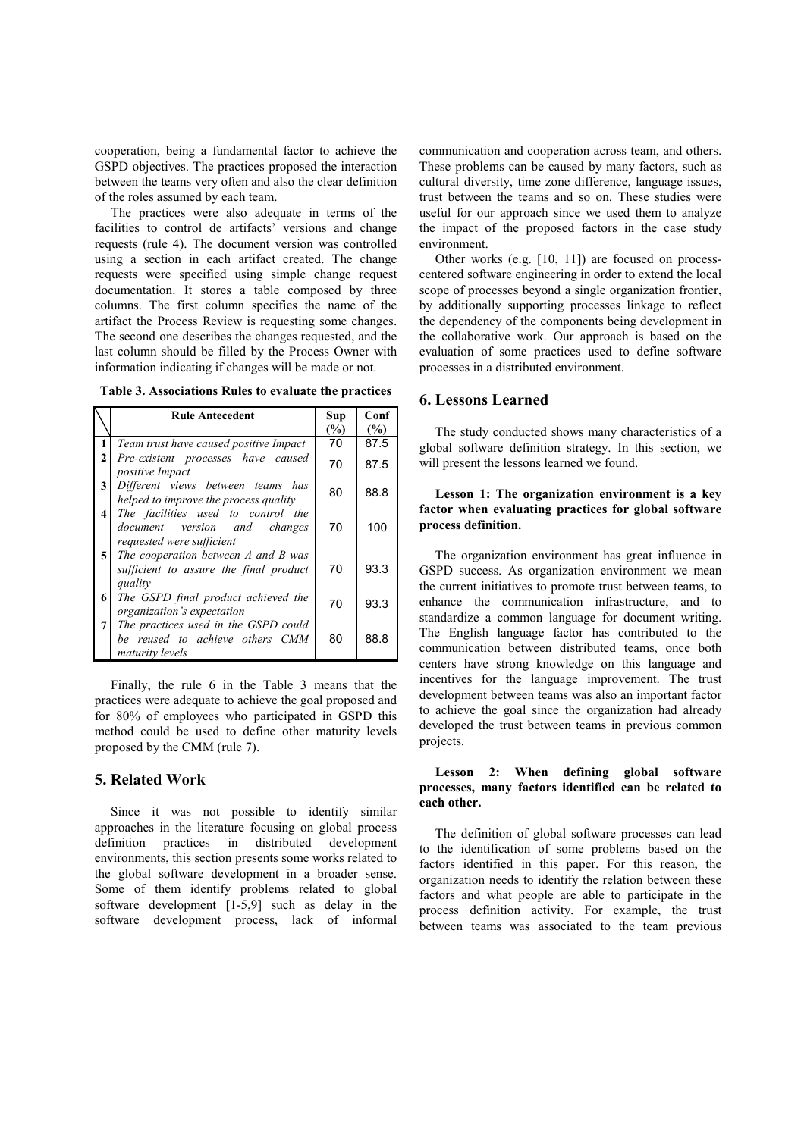cooperation, being a fundamental factor to achieve the GSPD objectives. The practices proposed the interaction between the teams very often and also the clear definition of the roles assumed by each team.

The practices were also adequate in terms of the facilities to control de artifacts' versions and change requests (rule 4). The document version was controlled using a section in each artifact created. The change requests were specified using simple change request documentation. It stores a table composed by three columns. The first column specifies the name of the artifact the Process Review is requesting some changes. The second one describes the changes requested, and the last column should be filled by the Process Owner with information indicating if changes will be made or not.

Table 3. Associations Rules to evaluate the practices

|                | <b>Rule Antecedent</b>                                                                          | Sup | Conf |
|----------------|-------------------------------------------------------------------------------------------------|-----|------|
|                |                                                                                                 | (%) | (%)  |
| 1              | Team trust have caused positive Impact                                                          | 70  | 87.5 |
| 2              | Pre-existent processes have caused<br><i>positive Impact</i>                                    | 70  | 87.5 |
| 3              | Different views between teams has<br>helped to improve the process quality                      | 80  | 88.8 |
| 4              | The facilities used to control the<br>document version and changes<br>requested were sufficient | 70  | 100  |
| 51             | The cooperation between A and B was<br>sufficient to assure the final product<br>quality        | 70  | 93.3 |
| 6              | The GSPD final product achieved the<br>organization's expectation                               | 70  | 93.3 |
| 7 <sup>1</sup> | The practices used in the GSPD could<br>be reused to achieve others CMM<br>maturity levels      | 80  | 88.8 |

Finally, the rule 6 in the Table 3 means that the practices were adequate to achieve the goal proposed and for 80% of employees who participated in GSPD this method could be used to define other maturity levels proposed by the CMM (rule 7).

## 5. Related Work

Since it was not possible to identify similar approaches in the literature focusing on global process definition practices in distributed development environments, this section presents some works related to the global software development in a broader sense. Some of them identify problems related to global software development [1-5,9] such as delay in the software development process, lack of informal

communication and cooperation across team, and others. These problems can be caused by many factors, such as cultural diversity, time zone difference, language issues, trust between the teams and so on. These studies were useful for our approach since we used them to analyze the impact of the proposed factors in the case study environment.

Other works (e.g. [10, 11]) are focused on processcentered software engineering in order to extend the local scope of processes beyond a single organization frontier, by additionally supporting processes linkage to reflect the dependency of the components being development in the collaborative work. Our approach is based on the evaluation of some practices used to define software processes in a distributed environment.

## 6. Lessons Learned

The study conducted shows many characteristics of a global software definition strategy. In this section, we will present the lessons learned we found.

## Lesson 1: The organization environment is a key factor when evaluating practices for global software process definition.

The organization environment has great influence in GSPD success. As organization environment we mean the current initiatives to promote trust between teams, to enhance the communication infrastructure, and to standardize a common language for document writing. The English language factor has contributed to the communication between distributed teams, once both centers have strong knowledge on this language and incentives for the language improvement. The trust development between teams was also an important factor to achieve the goal since the organization had already developed the trust between teams in previous common projects.

#### Lesson 2: When defining global software processes, many factors identified can be related to each other.

The definition of global software processes can lead to the identification of some problems based on the factors identified in this paper. For this reason, the organization needs to identify the relation between these factors and what people are able to participate in the process definition activity. For example, the trust between teams was associated to the team previous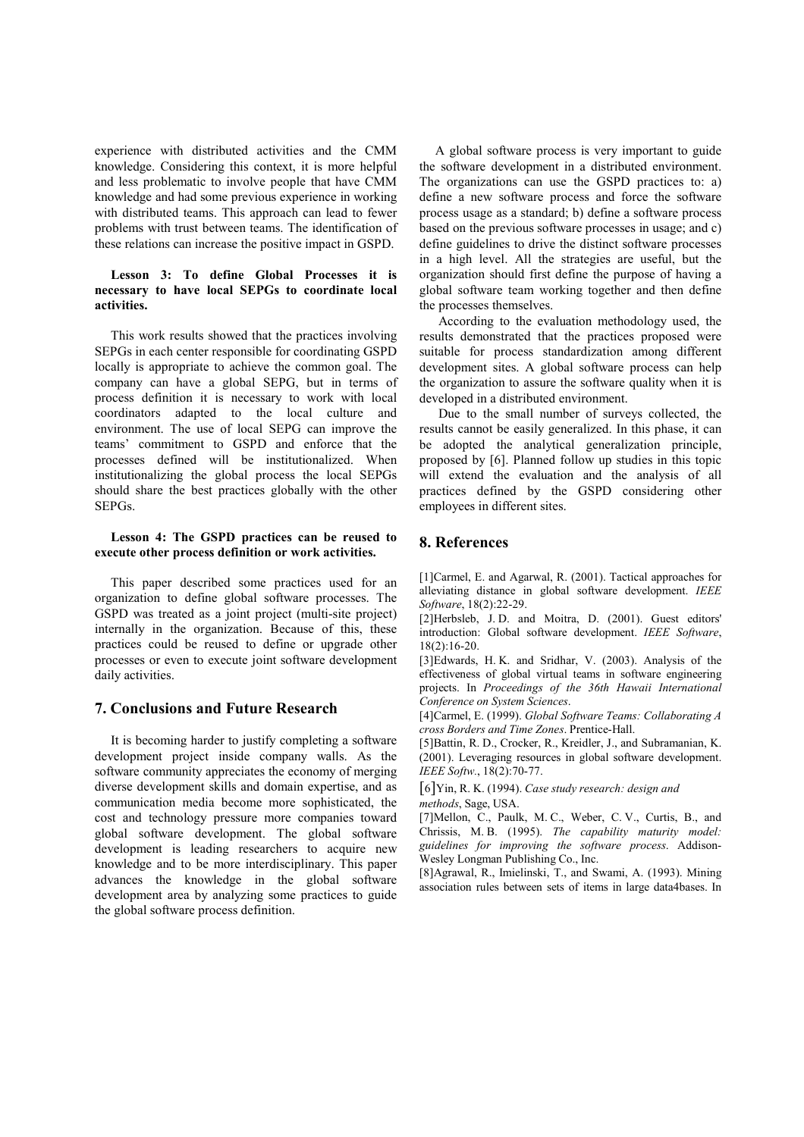experience with distributed activities and the CMM knowledge. Considering this context, it is more helpful and less problematic to involve people that have CMM knowledge and had some previous experience in working with distributed teams. This approach can lead to fewer problems with trust between teams. The identification of these relations can increase the positive impact in GSPD.

#### Lesson 3: To define Global Processes it is necessary to have local SEPGs to coordinate local activities.

This work results showed that the practices involving SEPGs in each center responsible for coordinating GSPD locally is appropriate to achieve the common goal. The company can have a global SEPG, but in terms of process definition it is necessary to work with local coordinators adapted to the local culture and environment. The use of local SEPG can improve the teams' commitment to GSPD and enforce that the processes defined will be institutionalized. When institutionalizing the global process the local SEPGs should share the best practices globally with the other SEPGs.

#### Lesson 4: The GSPD practices can be reused to execute other process definition or work activities.

This paper described some practices used for an organization to define global software processes. The GSPD was treated as a joint project (multi-site project) internally in the organization. Because of this, these practices could be reused to define or upgrade other processes or even to execute joint software development daily activities.

## 7. Conclusions and Future Research

It is becoming harder to justify completing a software development project inside company walls. As the software community appreciates the economy of merging diverse development skills and domain expertise, and as communication media become more sophisticated, the cost and technology pressure more companies toward global software development. The global software development is leading researchers to acquire new knowledge and to be more interdisciplinary. This paper advances the knowledge in the global software development area by analyzing some practices to guide the global software process definition.

A global software process is very important to guide the software development in a distributed environment. The organizations can use the GSPD practices to: a) define a new software process and force the software process usage as a standard; b) define a software process based on the previous software processes in usage; and c) define guidelines to drive the distinct software processes in a high level. All the strategies are useful, but the organization should first define the purpose of having a global software team working together and then define the processes themselves.

According to the evaluation methodology used, the results demonstrated that the practices proposed were suitable for process standardization among different development sites. A global software process can help the organization to assure the software quality when it is developed in a distributed environment.

Due to the small number of surveys collected, the results cannot be easily generalized. In this phase, it can be adopted the analytical generalization principle, proposed by [6]. Planned follow up studies in this topic will extend the evaluation and the analysis of all practices defined by the GSPD considering other employees in different sites.

## 8. References

[1]Carmel, E. and Agarwal, R. (2001). Tactical approaches for alleviating distance in global software development. IEEE Software, 18(2):22-29.

[2]Herbsleb, J.D. and Moitra, D. (2001). Guest editors' introduction: Global software development. IEEE Software, 18(2):16-20.

[3]Edwards, H. K. and Sridhar, V. (2003). Analysis of the effectiveness of global virtual teams in software engineering projects. In Proceedings of the 36th Hawaii International Conference on System Sciences.

[4]Carmel, E. (1999). Global Software Teams: Collaborating A cross Borders and Time Zones. Prentice-Hall.

[5]Battin, R. D., Crocker, R., Kreidler, J., and Subramanian, K. (2001). Leveraging resources in global software development. IEEE Softw., 18(2):70-77.

[6]Yin, R. K. (1994). Case study research: design and methods, Sage, USA.

[7]Mellon, C., Paulk, M. C., Weber, C. V., Curtis, B., and Chrissis, M. B. (1995). The capability maturity model: guidelines for improving the software process. Addison-Wesley Longman Publishing Co., Inc.

[8]Agrawal, R., Imielinski, T., and Swami, A. (1993). Mining association rules between sets of items in large data4bases. In